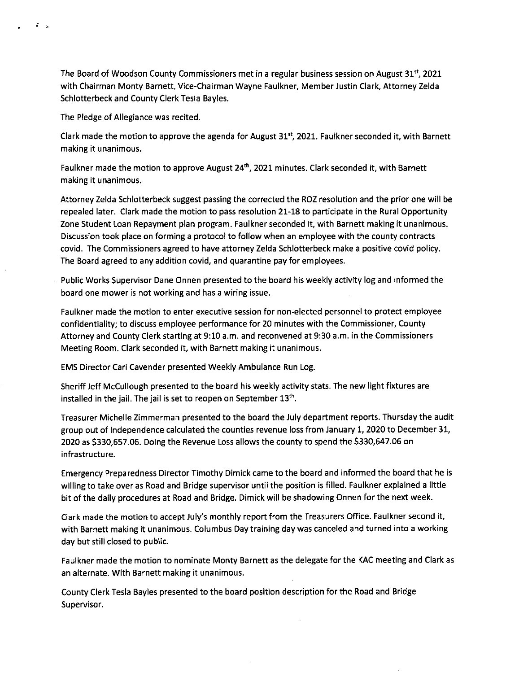The Board of Woodson County Commissioners met in a regular business session on August 31", 2021 with Chairman Monty Barnett, Vice-Chairman Wayne Faulkner, Member Justin Clark, Attorney Zelda Schlotterbeck and County Clerk Tesla Bayles.

The Pledge of Allegiance was recited.

 $\mathcal{Z}=\mathcal{Z}$ 

Clark made the motion to approve the agenda for August  $31<sup>st</sup>$ , 2021. Faulkner seconded it, with Barnett making it unanimous.

Faulkner made the motion to approve August 24<sup>th</sup>, 2021 minutes. Clark seconded it, with Barnett making it unanimous.

Attorney Zelda Schlotterbeck suggest passing the corrected the ROZ resolution and the prior one will be repealed later. Clark made the motion to pass resolution 21-18 to participate in the Rural Opportunity Zone Student Loan Repayment plan program. Faulkner seconded it, with Barnett making it unanimous. Discussion took place on forming a protocol to follow when an employee with the county contracts covid. The Commissioners agreed to have attorney Zelda Schlotterbeck make a positive covid policy. The Board agreed to any addition covid, and quarantine pay for employees.

Public Works Supervisor Dane Onnen presented to the board his weekly activity log and informed the board one mower is not working and has a wiring issue.

Faulkner made the motion to enter executive session for non-elected personnel to protect employee confidentiality; to discuss employee performance for 20 minutes with the Commissioner, County Attorney and County Clerk starting at 9:10 a.m. and reconvened at 9:30 a.m. in the Commissioners Meeting Room. Clark seconded it, with Barnett making it unanimous.

EMS Director Cari Cavender presented Weekly Ambulance Run Log.

Sheriff Jeff McCullough presented to the board his weekly activity stats. The new light fixtures are installed in the jail. The jail is set to reopen on September 13th.

Treasurer Michelle Zimmerman presented to the board the July department reports. Thursday the audit group out of Independence calculated the counties revenue loss from January 1, 2020 to December 31, 2020 as \$330,657.06. Doing the Revenue Loss allows the county to spend the \$330,647.06 on infrastructure.

Emergency Preparedness Director Timothy Dimick came to the board and informed the board that he is willing to take over as Road and Bridge supervisor until the position is filled. Faulkner explained a little bit of the daily procedures at Road and Bridge. Dimick will be shadowing Onnen for the next week.

Clark made the motion to accept July's monthly report from the Treasurers Office. Faulkner second it, with Barnett making it unanimous. Columbus Day training day was canceled and turned into a working day but still closed to public.

Faulkner made the motion to nominate Monty Barnett as the delegate for the KAC meeting and Clark as an alternate. With Barnett making it unanimous.

County Clerk Tesla Bayles presented to the board position description for the Road and Bridge Supervisor.